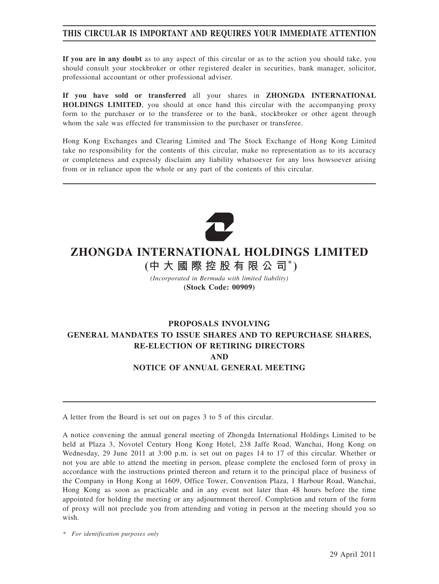## **THIS CIRCULAR IS IMPORTANT AND REQUIRES YOUR IMMEDIATE ATTENTION**

**If you are in any doubt** as to any aspect of this circular or as to the action you should take, you should consult your stockbroker or other registered dealer in securities, bank manager, solicitor, professional accountant or other professional adviser.

**If you have sold or transferred** all your shares in **ZHONGDA INTERNATIONAL HOLDINGS LIMITED**, you should at once hand this circular with the accompanying proxy form to the purchaser or to the transferee or to the bank, stockbroker or other agent through whom the sale was effected for transmission to the purchaser or transferee.

Hong Kong Exchanges and Clearing Limited and The Stock Exchange of Hong Kong Limited take no responsibility for the contents of this circular, make no representation as to its accuracy or completeness and expressly disclaim any liability whatsoever for any loss howsoever arising from or in reliance upon the whole or any part of the contents of this circular.



# **ZHONGDA INTERNATIONAL HOLDINGS LIMITED**

**(中大國際控股有限公司\* )**

*(Incorporated in Bermuda with limited liability)* **(Stock Code: 00909)**

## **PROPOSALS INVOLVING GENERAL MANDATES TO ISSUE SHARES AND TO REPURCHASE SHARES, RE-ELECTION OF RETIRING DIRECTORS AND NOTICE OF ANNUAL GENERAL MEETING**

A letter from the Board is set out on pages 3 to 5 of this circular.

A notice convening the annual general meeting of Zhongda International Holdings Limited to be held at Plaza 3, Novotel Century Hong Kong Hotel, 238 Jaffe Road, Wanchai, Hong Kong on Wednesday, 29 June 2011 at 3:00 p.m. is set out on pages 14 to 17 of this circular. Whether or not you are able to attend the meeting in person, please complete the enclosed form of proxy in accordance with the instructions printed thereon and return it to the principal place of business of the Company in Hong Kong at 1609, Office Tower, Convention Plaza, 1 Harbour Road, Wanchai, Hong Kong as soon as practicable and in any event not later than 48 hours before the time appointed for holding the meeting or any adjournment thereof. Completion and return of the form of proxy will not preclude you from attending and voting in person at the meeting should you so wish.

*\* For identification purposes only*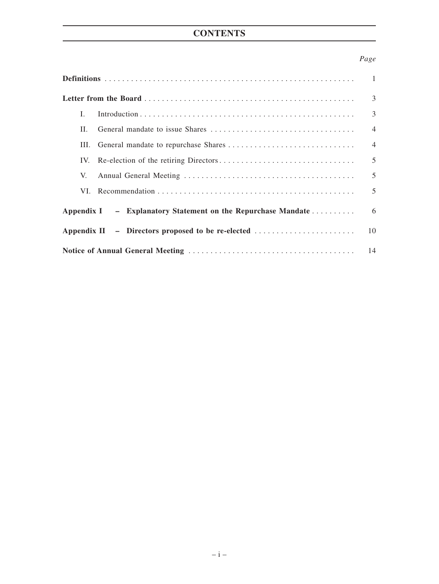# **CONTENTS**

## *Page*

|                                                              | $\overline{1}$ |
|--------------------------------------------------------------|----------------|
|                                                              | 3              |
| L                                                            | 3              |
| H.                                                           | $\overline{4}$ |
| Ш.                                                           | $\overline{4}$ |
| IV.                                                          | 5              |
| V.                                                           | 5              |
|                                                              | 5              |
| Appendix I – Explanatory Statement on the Repurchase Mandate | 6              |
|                                                              | 10             |
|                                                              |                |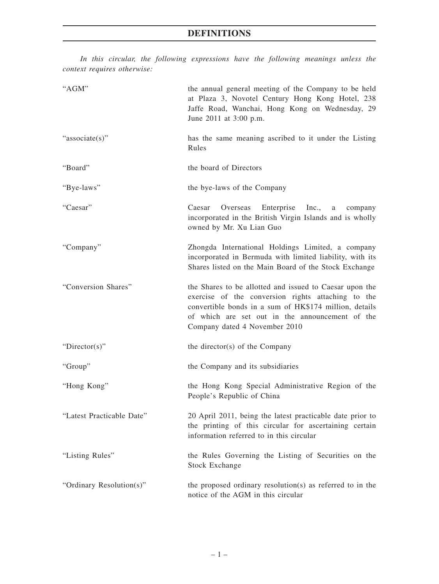*In this circular, the following expressions have the following meanings unless the context requires otherwise:*

| "AGM"                     | the annual general meeting of the Company to be held<br>at Plaza 3, Novotel Century Hong Kong Hotel, 238<br>Jaffe Road, Wanchai, Hong Kong on Wednesday, 29<br>June 2011 at 3:00 p.m.                                                                       |
|---------------------------|-------------------------------------------------------------------------------------------------------------------------------------------------------------------------------------------------------------------------------------------------------------|
| "associate(s)"            | has the same meaning ascribed to it under the Listing<br>Rules                                                                                                                                                                                              |
| "Board"                   | the board of Directors                                                                                                                                                                                                                                      |
| "Bye-laws"                | the bye-laws of the Company                                                                                                                                                                                                                                 |
| "Caesar"                  | Caesar<br>Overseas<br>Enterprise<br>Inc.,<br>a<br>company<br>incorporated in the British Virgin Islands and is wholly<br>owned by Mr. Xu Lian Guo                                                                                                           |
| "Company"                 | Zhongda International Holdings Limited, a company<br>incorporated in Bermuda with limited liability, with its<br>Shares listed on the Main Board of the Stock Exchange                                                                                      |
| "Conversion Shares"       | the Shares to be allotted and issued to Caesar upon the<br>exercise of the conversion rights attaching to the<br>convertible bonds in a sum of HK\$174 million, details<br>of which are set out in the announcement of the<br>Company dated 4 November 2010 |
| " $Directory$ "           | the director(s) of the Company                                                                                                                                                                                                                              |
| "Group"                   | the Company and its subsidiaries                                                                                                                                                                                                                            |
| "Hong Kong"               | the Hong Kong Special Administrative Region of the<br>People's Republic of China                                                                                                                                                                            |
| "Latest Practicable Date" | 20 April 2011, being the latest practicable date prior to<br>the printing of this circular for ascertaining certain<br>information referred to in this circular                                                                                             |
| "Listing Rules"           | the Rules Governing the Listing of Securities on the<br><b>Stock Exchange</b>                                                                                                                                                                               |
| "Ordinary Resolution(s)"  | the proposed ordinary resolution(s) as referred to in the<br>notice of the AGM in this circular                                                                                                                                                             |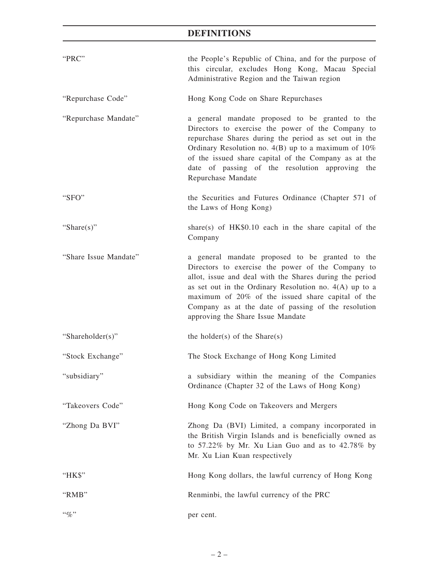# **DEFINITIONS**

| "PRC"                 | the People's Republic of China, and for the purpose of<br>this circular, excludes Hong Kong, Macau Special<br>Administrative Region and the Taiwan region                                                                                                                                                                                                                    |
|-----------------------|------------------------------------------------------------------------------------------------------------------------------------------------------------------------------------------------------------------------------------------------------------------------------------------------------------------------------------------------------------------------------|
| "Repurchase Code"     | Hong Kong Code on Share Repurchases                                                                                                                                                                                                                                                                                                                                          |
| "Repurchase Mandate"  | a general mandate proposed to be granted to the<br>Directors to exercise the power of the Company to<br>repurchase Shares during the period as set out in the<br>Ordinary Resolution no. $4(B)$ up to a maximum of $10\%$<br>of the issued share capital of the Company as at the<br>date of passing of the resolution approving the<br>Repurchase Mandate                   |
| "SFO"                 | the Securities and Futures Ordinance (Chapter 571 of<br>the Laws of Hong Kong)                                                                                                                                                                                                                                                                                               |
| "Share $(s)$ "        | share(s) of $HK$0.10$ each in the share capital of the<br>Company                                                                                                                                                                                                                                                                                                            |
| "Share Issue Mandate" | a general mandate proposed to be granted to the<br>Directors to exercise the power of the Company to<br>allot, issue and deal with the Shares during the period<br>as set out in the Ordinary Resolution no. $4(A)$ up to a<br>maximum of 20% of the issued share capital of the<br>Company as at the date of passing of the resolution<br>approving the Share Issue Mandate |
| "Shareholder(s)"      | the holder(s) of the Share(s)                                                                                                                                                                                                                                                                                                                                                |
| "Stock Exchange"      | The Stock Exchange of Hong Kong Limited                                                                                                                                                                                                                                                                                                                                      |
| "subsidiary"          | a subsidiary within the meaning of the Companies<br>Ordinance (Chapter 32 of the Laws of Hong Kong)                                                                                                                                                                                                                                                                          |
| "Takeovers Code"      | Hong Kong Code on Takeovers and Mergers                                                                                                                                                                                                                                                                                                                                      |
| "Zhong Da BVI"        | Zhong Da (BVI) Limited, a company incorporated in<br>the British Virgin Islands and is beneficially owned as<br>to 57.22% by Mr. Xu Lian Guo and as to 42.78% by<br>Mr. Xu Lian Kuan respectively                                                                                                                                                                            |
| " $HKS$ "             | Hong Kong dollars, the lawful currency of Hong Kong                                                                                                                                                                                                                                                                                                                          |
| "RMB"                 | Renminbi, the lawful currency of the PRC                                                                                                                                                                                                                                                                                                                                     |
| $``\%"$               | per cent.                                                                                                                                                                                                                                                                                                                                                                    |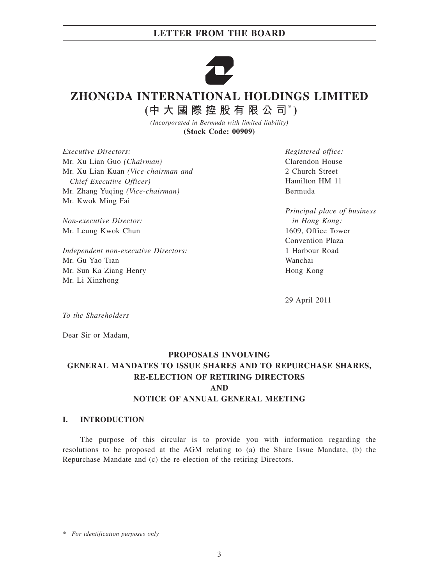## **LETTER FROM THE BOARD**



# **ZHONGDA INTERNATIONAL HOLDINGS LIMITED**

**(中大國際控股有限公司\* )**

*(Incorporated in Bermuda with limited liability)* **(Stock Code: 00909)**

*Executive Directors:* Mr. Xu Lian Guo *(Chairman)* Mr. Xu Lian Kuan *(Vice-chairman and Chief Executive Officer)* Mr. Zhang Yuqing *(Vice-chairman)* Mr. Kwok Ming Fai

*Non-executive Director:* Mr. Leung Kwok Chun

*Independent non-executive Directors:* Mr. Gu Yao Tian Mr. Sun Ka Ziang Henry Mr. Li Xinzhong

*Registered office:* Clarendon House 2 Church Street Hamilton HM 11 Bermuda

*Principal place of business in Hong Kong:* 1609, Office Tower Convention Plaza 1 Harbour Road Wanchai Hong Kong

29 April 2011

*To the Shareholders*

Dear Sir or Madam,

## **PROPOSALS INVOLVING GENERAL MANDATES TO ISSUE SHARES AND TO REPURCHASE SHARES, RE-ELECTION OF RETIRING DIRECTORS AND NOTICE OF ANNUAL GENERAL MEETING**

#### **I. INTRODUCTION**

The purpose of this circular is to provide you with information regarding the resolutions to be proposed at the AGM relating to (a) the Share Issue Mandate, (b) the Repurchase Mandate and (c) the re-election of the retiring Directors.

*\* For identification purposes only*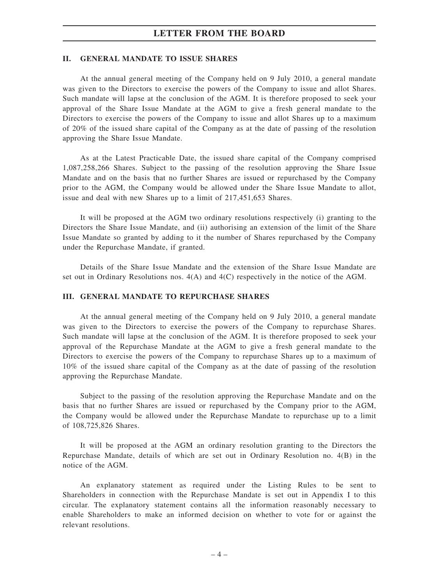## **LETTER FROM THE BOARD**

#### **II. GENERAL MANDATE TO ISSUE SHARES**

At the annual general meeting of the Company held on 9 July 2010, a general mandate was given to the Directors to exercise the powers of the Company to issue and allot Shares. Such mandate will lapse at the conclusion of the AGM. It is therefore proposed to seek your approval of the Share Issue Mandate at the AGM to give a fresh general mandate to the Directors to exercise the powers of the Company to issue and allot Shares up to a maximum of 20% of the issued share capital of the Company as at the date of passing of the resolution approving the Share Issue Mandate.

As at the Latest Practicable Date, the issued share capital of the Company comprised 1,087,258,266 Shares. Subject to the passing of the resolution approving the Share Issue Mandate and on the basis that no further Shares are issued or repurchased by the Company prior to the AGM, the Company would be allowed under the Share Issue Mandate to allot, issue and deal with new Shares up to a limit of 217,451,653 Shares.

It will be proposed at the AGM two ordinary resolutions respectively (i) granting to the Directors the Share Issue Mandate, and (ii) authorising an extension of the limit of the Share Issue Mandate so granted by adding to it the number of Shares repurchased by the Company under the Repurchase Mandate, if granted.

Details of the Share Issue Mandate and the extension of the Share Issue Mandate are set out in Ordinary Resolutions nos. 4(A) and 4(C) respectively in the notice of the AGM.

#### **III. GENERAL MANDATE TO REPURCHASE SHARES**

At the annual general meeting of the Company held on 9 July 2010, a general mandate was given to the Directors to exercise the powers of the Company to repurchase Shares. Such mandate will lapse at the conclusion of the AGM. It is therefore proposed to seek your approval of the Repurchase Mandate at the AGM to give a fresh general mandate to the Directors to exercise the powers of the Company to repurchase Shares up to a maximum of 10% of the issued share capital of the Company as at the date of passing of the resolution approving the Repurchase Mandate.

Subject to the passing of the resolution approving the Repurchase Mandate and on the basis that no further Shares are issued or repurchased by the Company prior to the AGM, the Company would be allowed under the Repurchase Mandate to repurchase up to a limit of 108,725,826 Shares.

It will be proposed at the AGM an ordinary resolution granting to the Directors the Repurchase Mandate, details of which are set out in Ordinary Resolution no. 4(B) in the notice of the AGM.

An explanatory statement as required under the Listing Rules to be sent to Shareholders in connection with the Repurchase Mandate is set out in Appendix I to this circular. The explanatory statement contains all the information reasonably necessary to enable Shareholders to make an informed decision on whether to vote for or against the relevant resolutions.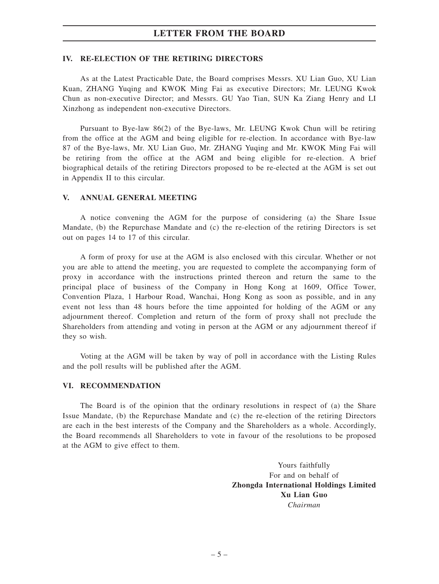## **LETTER FROM THE BOARD**

#### **IV. RE-ELECTION OF THE RETIRING DIRECTORS**

As at the Latest Practicable Date, the Board comprises Messrs. XU Lian Guo, XU Lian Kuan, ZHANG Yuqing and KWOK Ming Fai as executive Directors; Mr. LEUNG Kwok Chun as non-executive Director; and Messrs. GU Yao Tian, SUN Ka Ziang Henry and LI Xinzhong as independent non-executive Directors.

Pursuant to Bye-law 86(2) of the Bye-laws, Mr. LEUNG Kwok Chun will be retiring from the office at the AGM and being eligible for re-election. In accordance with Bye-law 87 of the Bye-laws, Mr. XU Lian Guo, Mr. ZHANG Yuqing and Mr. KWOK Ming Fai will be retiring from the office at the AGM and being eligible for re-election. A brief biographical details of the retiring Directors proposed to be re-elected at the AGM is set out in Appendix II to this circular.

#### **V. ANNUAL GENERAL MEETING**

A notice convening the AGM for the purpose of considering (a) the Share Issue Mandate, (b) the Repurchase Mandate and (c) the re-election of the retiring Directors is set out on pages 14 to 17 of this circular.

A form of proxy for use at the AGM is also enclosed with this circular. Whether or not you are able to attend the meeting, you are requested to complete the accompanying form of proxy in accordance with the instructions printed thereon and return the same to the principal place of business of the Company in Hong Kong at 1609, Office Tower, Convention Plaza, 1 Harbour Road, Wanchai, Hong Kong as soon as possible, and in any event not less than 48 hours before the time appointed for holding of the AGM or any adjournment thereof. Completion and return of the form of proxy shall not preclude the Shareholders from attending and voting in person at the AGM or any adjournment thereof if they so wish.

Voting at the AGM will be taken by way of poll in accordance with the Listing Rules and the poll results will be published after the AGM.

#### **VI. RECOMMENDATION**

The Board is of the opinion that the ordinary resolutions in respect of (a) the Share Issue Mandate, (b) the Repurchase Mandate and (c) the re-election of the retiring Directors are each in the best interests of the Company and the Shareholders as a whole. Accordingly, the Board recommends all Shareholders to vote in favour of the resolutions to be proposed at the AGM to give effect to them.

> Yours faithfully For and on behalf of **Zhongda International Holdings Limited Xu Lian Guo** *Chairman*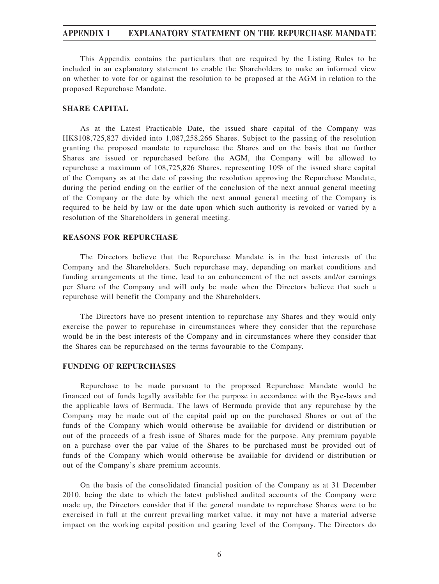This Appendix contains the particulars that are required by the Listing Rules to be included in an explanatory statement to enable the Shareholders to make an informed view on whether to vote for or against the resolution to be proposed at the AGM in relation to the proposed Repurchase Mandate.

#### **SHARE CAPITAL**

As at the Latest Practicable Date, the issued share capital of the Company was HK\$108,725,827 divided into 1,087,258,266 Shares. Subject to the passing of the resolution granting the proposed mandate to repurchase the Shares and on the basis that no further Shares are issued or repurchased before the AGM, the Company will be allowed to repurchase a maximum of 108,725,826 Shares, representing 10% of the issued share capital of the Company as at the date of passing the resolution approving the Repurchase Mandate, during the period ending on the earlier of the conclusion of the next annual general meeting of the Company or the date by which the next annual general meeting of the Company is required to be held by law or the date upon which such authority is revoked or varied by a resolution of the Shareholders in general meeting.

#### **REASONS FOR REPURCHASE**

The Directors believe that the Repurchase Mandate is in the best interests of the Company and the Shareholders. Such repurchase may, depending on market conditions and funding arrangements at the time, lead to an enhancement of the net assets and/or earnings per Share of the Company and will only be made when the Directors believe that such a repurchase will benefit the Company and the Shareholders.

The Directors have no present intention to repurchase any Shares and they would only exercise the power to repurchase in circumstances where they consider that the repurchase would be in the best interests of the Company and in circumstances where they consider that the Shares can be repurchased on the terms favourable to the Company.

#### **FUNDING OF REPURCHASES**

Repurchase to be made pursuant to the proposed Repurchase Mandate would be financed out of funds legally available for the purpose in accordance with the Bye-laws and the applicable laws of Bermuda. The laws of Bermuda provide that any repurchase by the Company may be made out of the capital paid up on the purchased Shares or out of the funds of the Company which would otherwise be available for dividend or distribution or out of the proceeds of a fresh issue of Shares made for the purpose. Any premium payable on a purchase over the par value of the Shares to be purchased must be provided out of funds of the Company which would otherwise be available for dividend or distribution or out of the Company's share premium accounts.

On the basis of the consolidated financial position of the Company as at 31 December 2010, being the date to which the latest published audited accounts of the Company were made up, the Directors consider that if the general mandate to repurchase Shares were to be exercised in full at the current prevailing market value, it may not have a material adverse impact on the working capital position and gearing level of the Company. The Directors do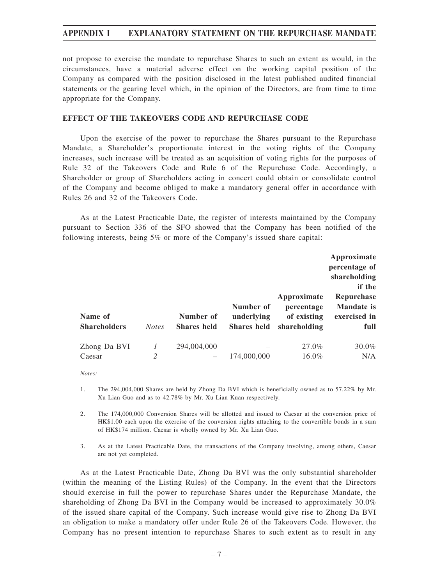not propose to exercise the mandate to repurchase Shares to such an extent as would, in the circumstances, have a material adverse effect on the working capital position of the Company as compared with the position disclosed in the latest published audited financial statements or the gearing level which, in the opinion of the Directors, are from time to time appropriate for the Company.

### **EFFECT OF THE TAKEOVERS CODE AND REPURCHASE CODE**

Upon the exercise of the power to repurchase the Shares pursuant to the Repurchase Mandate, a Shareholder's proportionate interest in the voting rights of the Company increases, such increase will be treated as an acquisition of voting rights for the purposes of Rule 32 of the Takeovers Code and Rule 6 of the Repurchase Code. Accordingly, a Shareholder or group of Shareholders acting in concert could obtain or consolidate control of the Company and become obliged to make a mandatory general offer in accordance with Rules 26 and 32 of the Takeovers Code.

As at the Latest Practicable Date, the register of interests maintained by the Company pursuant to Section 336 of the SFO showed that the Company has been notified of the following interests, being 5% or more of the Company's issued share capital:

| Name of<br><b>Shareholders</b> | <b>Notes</b> | Number of<br><b>Shares held</b> | Number of<br>underlying<br><b>Shares held</b> | Approximate<br>percentage<br>of existing<br>shareholding | Approximate<br>percentage of<br>shareholding<br>if the<br>Repurchase<br><b>Mandate</b> is<br>exercised in<br>full |
|--------------------------------|--------------|---------------------------------|-----------------------------------------------|----------------------------------------------------------|-------------------------------------------------------------------------------------------------------------------|
| Zhong Da BVI                   |              | 294,004,000                     |                                               | 27.0%                                                    | 30.0%                                                                                                             |
| Caesar                         | 2            |                                 | 174,000,000                                   | 16.0%                                                    | N/A                                                                                                               |

*Notes:*

- 1. The 294,004,000 Shares are held by Zhong Da BVI which is beneficially owned as to 57.22% by Mr. Xu Lian Guo and as to 42.78% by Mr. Xu Lian Kuan respectively.
- 2. The 174,000,000 Conversion Shares will be allotted and issued to Caesar at the conversion price of HK\$1.00 each upon the exercise of the conversion rights attaching to the convertible bonds in a sum of HK\$174 million. Caesar is wholly owned by Mr. Xu Lian Guo.
- 3. As at the Latest Practicable Date, the transactions of the Company involving, among others, Caesar are not yet completed.

As at the Latest Practicable Date, Zhong Da BVI was the only substantial shareholder (within the meaning of the Listing Rules) of the Company. In the event that the Directors should exercise in full the power to repurchase Shares under the Repurchase Mandate, the shareholding of Zhong Da BVI in the Company would be increased to approximately 30.0% of the issued share capital of the Company. Such increase would give rise to Zhong Da BVI an obligation to make a mandatory offer under Rule 26 of the Takeovers Code. However, the Company has no present intention to repurchase Shares to such extent as to result in any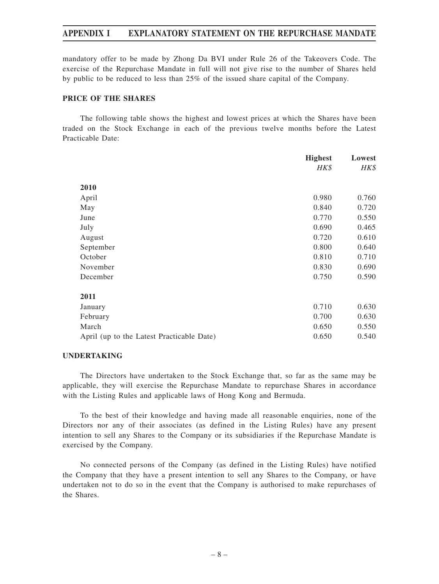mandatory offer to be made by Zhong Da BVI under Rule 26 of the Takeovers Code. The exercise of the Repurchase Mandate in full will not give rise to the number of Shares held by public to be reduced to less than 25% of the issued share capital of the Company.

#### **PRICE OF THE SHARES**

The following table shows the highest and lowest prices at which the Shares have been traded on the Stock Exchange in each of the previous twelve months before the Latest Practicable Date:

|                                           | <b>Highest</b> | Lowest |
|-------------------------------------------|----------------|--------|
|                                           | HK\$           | HK\$   |
| 2010                                      |                |        |
| April                                     | 0.980          | 0.760  |
| May                                       | 0.840          | 0.720  |
| June                                      | 0.770          | 0.550  |
| July                                      | 0.690          | 0.465  |
| August                                    | 0.720          | 0.610  |
| September                                 | 0.800          | 0.640  |
| October                                   | 0.810          | 0.710  |
| November                                  | 0.830          | 0.690  |
| December                                  | 0.750          | 0.590  |
| 2011                                      |                |        |
| January                                   | 0.710          | 0.630  |
| February                                  | 0.700          | 0.630  |
| March                                     | 0.650          | 0.550  |
| April (up to the Latest Practicable Date) | 0.650          | 0.540  |

#### **UNDERTAKING**

The Directors have undertaken to the Stock Exchange that, so far as the same may be applicable, they will exercise the Repurchase Mandate to repurchase Shares in accordance with the Listing Rules and applicable laws of Hong Kong and Bermuda.

To the best of their knowledge and having made all reasonable enquiries, none of the Directors nor any of their associates (as defined in the Listing Rules) have any present intention to sell any Shares to the Company or its subsidiaries if the Repurchase Mandate is exercised by the Company.

No connected persons of the Company (as defined in the Listing Rules) have notified the Company that they have a present intention to sell any Shares to the Company, or have undertaken not to do so in the event that the Company is authorised to make repurchases of the Shares.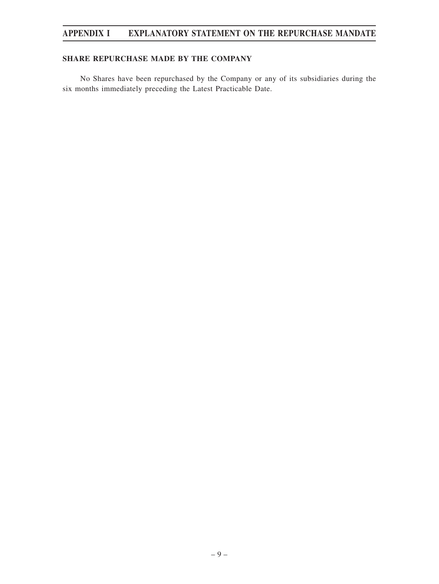## **SHARE REPURCHASE MADE BY THE COMPANY**

No Shares have been repurchased by the Company or any of its subsidiaries during the six months immediately preceding the Latest Practicable Date.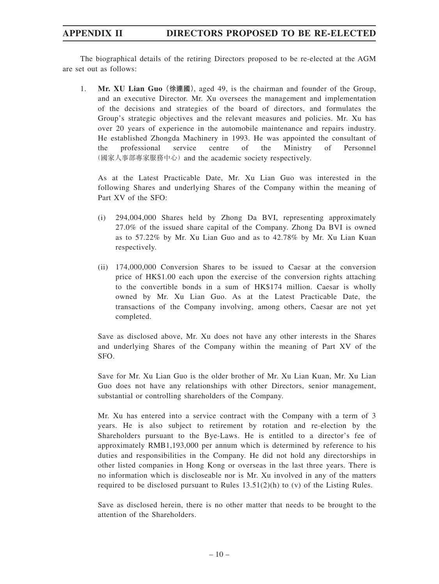## **APPENDIX II DIRECTORS PROPOSED TO BE RE-ELECTED**

The biographical details of the retiring Directors proposed to be re-elected at the AGM are set out as follows:

1. **Mr. XU Lian Guo(徐連國)**, aged 49, is the chairman and founder of the Group, and an executive Director. Mr. Xu oversees the management and implementation of the decisions and strategies of the board of directors, and formulates the Group's strategic objectives and the relevant measures and policies. Mr. Xu has over 20 years of experience in the automobile maintenance and repairs industry. He established Zhongda Machinery in 1993. He was appointed the consultant of the professional service centre of the Ministry of Personnel (國家人事部專家服務中心) and the academic society respectively.

As at the Latest Practicable Date, Mr. Xu Lian Guo was interested in the following Shares and underlying Shares of the Company within the meaning of Part XV of the SFO:

- (i) 294,004,000 Shares held by Zhong Da BVI, representing approximately 27.0% of the issued share capital of the Company. Zhong Da BVI is owned as to 57.22% by Mr. Xu Lian Guo and as to 42.78% by Mr. Xu Lian Kuan respectively.
- (ii) 174,000,000 Conversion Shares to be issued to Caesar at the conversion price of HK\$1.00 each upon the exercise of the conversion rights attaching to the convertible bonds in a sum of HK\$174 million. Caesar is wholly owned by Mr. Xu Lian Guo. As at the Latest Practicable Date, the transactions of the Company involving, among others, Caesar are not yet completed.

Save as disclosed above, Mr. Xu does not have any other interests in the Shares and underlying Shares of the Company within the meaning of Part XV of the SFO.

Save for Mr. Xu Lian Guo is the older brother of Mr. Xu Lian Kuan, Mr. Xu Lian Guo does not have any relationships with other Directors, senior management, substantial or controlling shareholders of the Company.

Mr. Xu has entered into a service contract with the Company with a term of 3 years. He is also subject to retirement by rotation and re-election by the Shareholders pursuant to the Bye-Laws. He is entitled to a director's fee of approximately RMB1,193,000 per annum which is determined by reference to his duties and responsibilities in the Company. He did not hold any directorships in other listed companies in Hong Kong or overseas in the last three years. There is no information which is discloseable nor is Mr. Xu involved in any of the matters required to be disclosed pursuant to Rules  $13.51(2)(h)$  to (v) of the Listing Rules.

Save as disclosed herein, there is no other matter that needs to be brought to the attention of the Shareholders.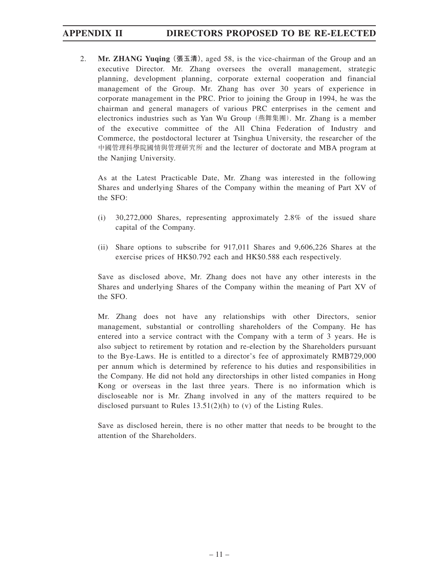## **APPENDIX II DIRECTORS PROPOSED TO BE RE-ELECTED**

2. **Mr. ZHANG Yuqing(張玉清)**, aged 58, is the vice-chairman of the Group and an executive Director. Mr. Zhang oversees the overall management, strategic planning, development planning, corporate external cooperation and financial management of the Group. Mr. Zhang has over 30 years of experience in corporate management in the PRC. Prior to joining the Group in 1994, he was the chairman and general managers of various PRC enterprises in the cement and electronics industries such as Yan Wu Group(燕舞集團). Mr. Zhang is a member of the executive committee of the All China Federation of Industry and Commerce, the postdoctoral lecturer at Tsinghua University, the researcher of the 中國管理科學院國情與管理研究所 and the lecturer of doctorate and MBA program at the Nanjing University.

As at the Latest Practicable Date, Mr. Zhang was interested in the following Shares and underlying Shares of the Company within the meaning of Part XV of the SFO:

- (i) 30,272,000 Shares, representing approximately 2.8% of the issued share capital of the Company.
- (ii) Share options to subscribe for 917,011 Shares and 9,606,226 Shares at the exercise prices of HK\$0.792 each and HK\$0.588 each respectively.

Save as disclosed above, Mr. Zhang does not have any other interests in the Shares and underlying Shares of the Company within the meaning of Part XV of the SFO.

Mr. Zhang does not have any relationships with other Directors, senior management, substantial or controlling shareholders of the Company. He has entered into a service contract with the Company with a term of 3 years. He is also subject to retirement by rotation and re-election by the Shareholders pursuant to the Bye-Laws. He is entitled to a director's fee of approximately RMB729,000 per annum which is determined by reference to his duties and responsibilities in the Company. He did not hold any directorships in other listed companies in Hong Kong or overseas in the last three years. There is no information which is discloseable nor is Mr. Zhang involved in any of the matters required to be disclosed pursuant to Rules 13.51(2)(h) to (v) of the Listing Rules.

Save as disclosed herein, there is no other matter that needs to be brought to the attention of the Shareholders.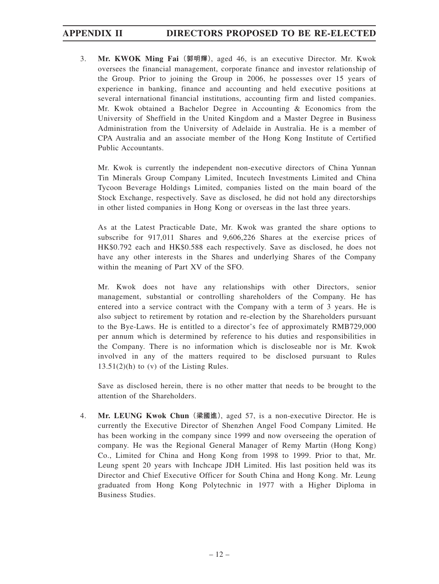## **APPENDIX II DIRECTORS PROPOSED TO BE RE-ELECTED**

3. **Mr. KWOK Ming Fai(郭明輝)**, aged 46, is an executive Director. Mr. Kwok oversees the financial management, corporate finance and investor relationship of the Group. Prior to joining the Group in 2006, he possesses over 15 years of experience in banking, finance and accounting and held executive positions at several international financial institutions, accounting firm and listed companies. Mr. Kwok obtained a Bachelor Degree in Accounting & Economics from the University of Sheffield in the United Kingdom and a Master Degree in Business Administration from the University of Adelaide in Australia. He is a member of CPA Australia and an associate member of the Hong Kong Institute of Certified Public Accountants.

Mr. Kwok is currently the independent non-executive directors of China Yunnan Tin Minerals Group Company Limited, Incutech Investments Limited and China Tycoon Beverage Holdings Limited, companies listed on the main board of the Stock Exchange, respectively. Save as disclosed, he did not hold any directorships in other listed companies in Hong Kong or overseas in the last three years.

As at the Latest Practicable Date, Mr. Kwok was granted the share options to subscribe for 917,011 Shares and 9,606,226 Shares at the exercise prices of HK\$0.792 each and HK\$0.588 each respectively. Save as disclosed, he does not have any other interests in the Shares and underlying Shares of the Company within the meaning of Part XV of the SFO.

Mr. Kwok does not have any relationships with other Directors, senior management, substantial or controlling shareholders of the Company. He has entered into a service contract with the Company with a term of 3 years. He is also subject to retirement by rotation and re-election by the Shareholders pursuant to the Bye-Laws. He is entitled to a director's fee of approximately RMB729,000 per annum which is determined by reference to his duties and responsibilities in the Company. There is no information which is discloseable nor is Mr. Kwok involved in any of the matters required to be disclosed pursuant to Rules  $13.51(2)(h)$  to (v) of the Listing Rules.

Save as disclosed herein, there is no other matter that needs to be brought to the attention of the Shareholders.

4. **Mr. LEUNG Kwok Chun(梁國進)**, aged 57, is a non-executive Director. He is currently the Executive Director of Shenzhen Angel Food Company Limited. He has been working in the company since 1999 and now overseeing the operation of company. He was the Regional General Manager of Remy Martin (Hong Kong) Co., Limited for China and Hong Kong from 1998 to 1999. Prior to that, Mr. Leung spent 20 years with Inchcape JDH Limited. His last position held was its Director and Chief Executive Officer for South China and Hong Kong. Mr. Leung graduated from Hong Kong Polytechnic in 1977 with a Higher Diploma in Business Studies.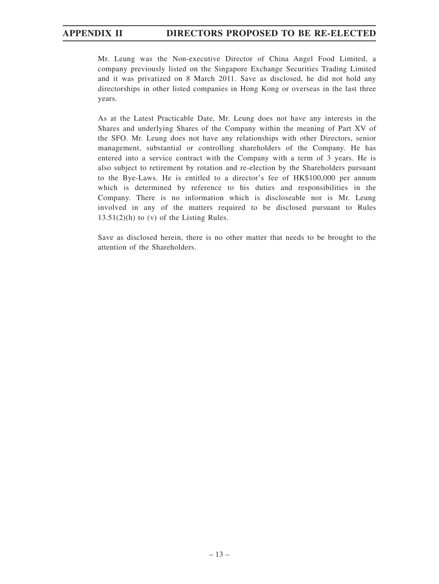Mr. Leung was the Non-executive Director of China Angel Food Limited, a company previously listed on the Singapore Exchange Securities Trading Limited and it was privatized on 8 March 2011. Save as disclosed, he did not hold any directorships in other listed companies in Hong Kong or overseas in the last three years.

As at the Latest Practicable Date, Mr. Leung does not have any interests in the Shares and underlying Shares of the Company within the meaning of Part XV of the SFO. Mr. Leung does not have any relationships with other Directors, senior management, substantial or controlling shareholders of the Company. He has entered into a service contract with the Company with a term of 3 years. He is also subject to retirement by rotation and re-election by the Shareholders pursuant to the Bye-Laws. He is entitled to a director's fee of HK\$100,000 per annum which is determined by reference to his duties and responsibilities in the Company. There is no information which is discloseable nor is Mr. Leung involved in any of the matters required to be disclosed pursuant to Rules  $13.51(2)$ (h) to (v) of the Listing Rules.

Save as disclosed herein, there is no other matter that needs to be brought to the attention of the Shareholders.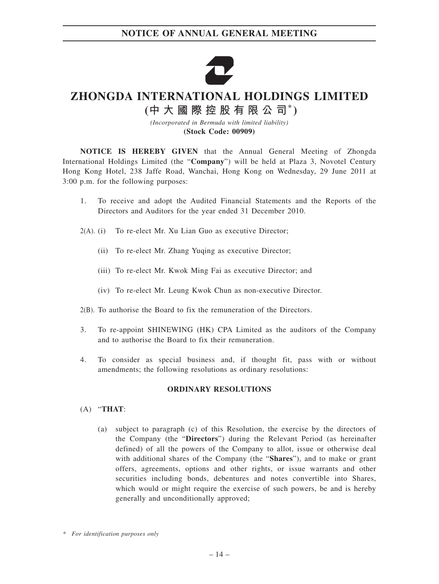

# **ZHONGDA INTERNATIONAL HOLDINGS LIMITED**

**(中大國際控股有限公司\* )**

*(Incorporated in Bermuda with limited liability)* **(Stock Code: 00909)**

**NOTICE IS HEREBY GIVEN** that the Annual General Meeting of Zhongda International Holdings Limited (the "**Company**") will be held at Plaza 3, Novotel Century Hong Kong Hotel, 238 Jaffe Road, Wanchai, Hong Kong on Wednesday, 29 June 2011 at 3:00 p.m. for the following purposes:

- 1. To receive and adopt the Audited Financial Statements and the Reports of the Directors and Auditors for the year ended 31 December 2010.
- 2(A). (i) To re-elect Mr. Xu Lian Guo as executive Director;
	- (ii) To re-elect Mr. Zhang Yuqing as executive Director;
	- (iii) To re-elect Mr. Kwok Ming Fai as executive Director; and
	- (iv) To re-elect Mr. Leung Kwok Chun as non-executive Director.
- 2(B). To authorise the Board to fix the remuneration of the Directors.
- 3. To re-appoint SHINEWING (HK) CPA Limited as the auditors of the Company and to authorise the Board to fix their remuneration.
- 4. To consider as special business and, if thought fit, pass with or without amendments; the following resolutions as ordinary resolutions:

#### **ORDINARY RESOLUTIONS**

- (A) "**THAT**:
	- (a) subject to paragraph (c) of this Resolution, the exercise by the directors of the Company (the "**Directors**") during the Relevant Period (as hereinafter defined) of all the powers of the Company to allot, issue or otherwise deal with additional shares of the Company (the "**Shares**"), and to make or grant offers, agreements, options and other rights, or issue warrants and other securities including bonds, debentures and notes convertible into Shares, which would or might require the exercise of such powers, be and is hereby generally and unconditionally approved;

*<sup>\*</sup> For identification purposes only*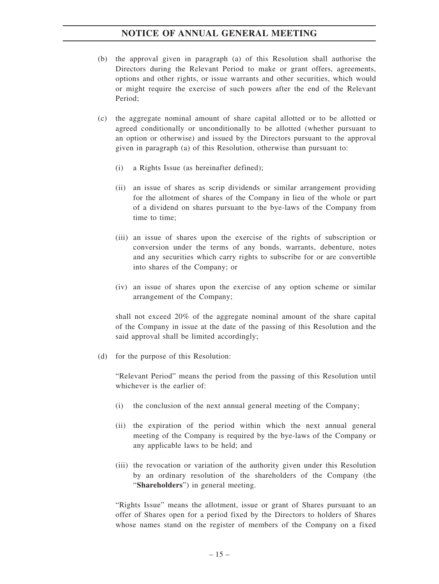- (b) the approval given in paragraph (a) of this Resolution shall authorise the Directors during the Relevant Period to make or grant offers, agreements, options and other rights, or issue warrants and other securities, which would or might require the exercise of such powers after the end of the Relevant Period;
- (c) the aggregate nominal amount of share capital allotted or to be allotted or agreed conditionally or unconditionally to be allotted (whether pursuant to an option or otherwise) and issued by the Directors pursuant to the approval given in paragraph (a) of this Resolution, otherwise than pursuant to:
	- (i) a Rights Issue (as hereinafter defined);
	- (ii) an issue of shares as scrip dividends or similar arrangement providing for the allotment of shares of the Company in lieu of the whole or part of a dividend on shares pursuant to the bye-laws of the Company from time to time;
	- (iii) an issue of shares upon the exercise of the rights of subscription or conversion under the terms of any bonds, warrants, debenture, notes and any securities which carry rights to subscribe for or are convertible into shares of the Company; or
	- (iv) an issue of shares upon the exercise of any option scheme or similar arrangement of the Company;

shall not exceed 20% of the aggregate nominal amount of the share capital of the Company in issue at the date of the passing of this Resolution and the said approval shall be limited accordingly;

(d) for the purpose of this Resolution:

"Relevant Period" means the period from the passing of this Resolution until whichever is the earlier of:

- (i) the conclusion of the next annual general meeting of the Company;
- (ii) the expiration of the period within which the next annual general meeting of the Company is required by the bye-laws of the Company or any applicable laws to be held; and
- (iii) the revocation or variation of the authority given under this Resolution by an ordinary resolution of the shareholders of the Company (the "**Shareholders**") in general meeting.

"Rights Issue" means the allotment, issue or grant of Shares pursuant to an offer of Shares open for a period fixed by the Directors to holders of Shares whose names stand on the register of members of the Company on a fixed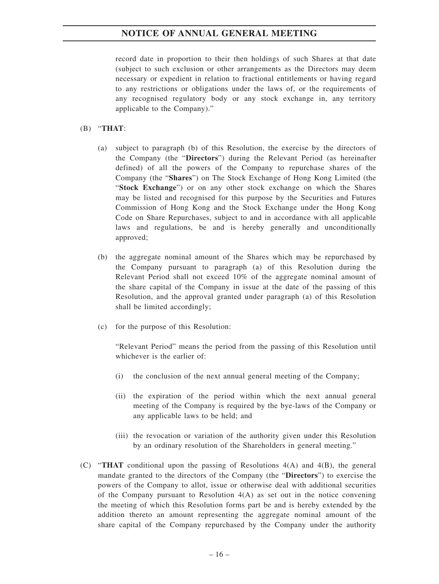record date in proportion to their then holdings of such Shares at that date (subject to such exclusion or other arrangements as the Directors may deem necessary or expedient in relation to fractional entitlements or having regard to any restrictions or obligations under the laws of, or the requirements of any recognised regulatory body or any stock exchange in, any territory applicable to the Company)."

#### (B) "**THAT**:

- (a) subject to paragraph (b) of this Resolution, the exercise by the directors of the Company (the "**Directors**") during the Relevant Period (as hereinafter defined) of all the powers of the Company to repurchase shares of the Company (the "**Shares**") on The Stock Exchange of Hong Kong Limited (the "**Stock Exchange**") or on any other stock exchange on which the Shares may be listed and recognised for this purpose by the Securities and Futures Commission of Hong Kong and the Stock Exchange under the Hong Kong Code on Share Repurchases, subject to and in accordance with all applicable laws and regulations, be and is hereby generally and unconditionally approved;
- (b) the aggregate nominal amount of the Shares which may be repurchased by the Company pursuant to paragraph (a) of this Resolution during the Relevant Period shall not exceed 10% of the aggregate nominal amount of the share capital of the Company in issue at the date of the passing of this Resolution, and the approval granted under paragraph (a) of this Resolution shall be limited accordingly;
- (c) for the purpose of this Resolution:

"Relevant Period" means the period from the passing of this Resolution until whichever is the earlier of:

- (i) the conclusion of the next annual general meeting of the Company;
- (ii) the expiration of the period within which the next annual general meeting of the Company is required by the bye-laws of the Company or any applicable laws to be held; and
- (iii) the revocation or variation of the authority given under this Resolution by an ordinary resolution of the Shareholders in general meeting."
- (C) "**THAT** conditional upon the passing of Resolutions 4(A) and 4(B), the general mandate granted to the directors of the Company (the "**Directors**") to exercise the powers of the Company to allot, issue or otherwise deal with additional securities of the Company pursuant to Resolution 4(A) as set out in the notice convening the meeting of which this Resolution forms part be and is hereby extended by the addition thereto an amount representing the aggregate nominal amount of the share capital of the Company repurchased by the Company under the authority